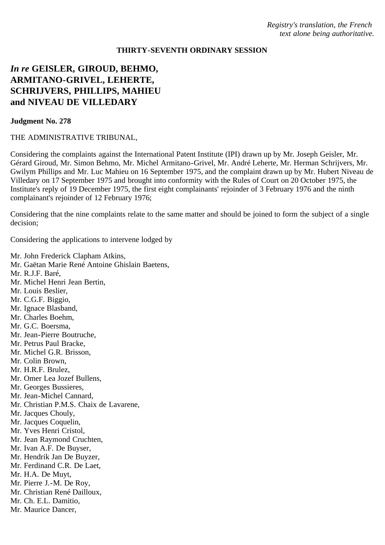## **THIRTY-SEVENTH ORDINARY SESSION**

## *In re* **GEISLER, GIROUD, BEHMO, ARMITANO-GRIVEL, LEHERTE, SCHRIJVERS, PHILLIPS, MAHIEU and NIVEAU DE VILLEDARY**

## **Judgment No. 278**

## THE ADMINISTRATIVE TRIBUNAL,

Considering the complaints against the International Patent Institute (IPI) drawn up by Mr. Joseph Geisler, Mr. Gérard Giroud, Mr. Simon Behmo, Mr. Michel Armitano-Grivel, Mr. André Leherte, Mr. Herman Schrijvers, Mr. Gwilym Phillips and Mr. Luc Mahieu on 16 September 1975, and the complaint drawn up by Mr. Hubert Niveau de Villedary on 17 September 1975 and brought into conformity with the Rules of Court on 20 October 1975, the Institute's reply of 19 December 1975, the first eight complainants' rejoinder of 3 February 1976 and the ninth complainant's rejoinder of 12 February 1976;

Considering that the nine complaints relate to the same matter and should be joined to form the subject of a single decision;

Considering the applications to intervene lodged by

Mr. John Frederick Clapham Atkins, Mr. Gaëtan Marie René Antoine Ghislain Baetens, Mr. R.J.F. Baré, Mr. Michel Henri Jean Bertin, Mr. Louis Beslier, Mr. C.G.F. Biggio, Mr. Ignace Blasband, Mr. Charles Boehm, Mr. G.C. Boersma, Mr. Jean-Pierre Boutruche, Mr. Petrus Paul Bracke, Mr. Michel G.R. Brisson, Mr. Colin Brown, Mr. H.R.F. Brulez, Mr. Omer Lea Jozef Bullens, Mr. Georges Bussieres, Mr. Jean-Michel Cannard, Mr. Christian P.M.S. Chaix de Lavarene, Mr. Jacques Chouly, Mr. Jacques Coquelin, Mr. Yves Henri Cristol, Mr. Jean Raymond Cruchten, Mr. Ivan A.F. De Buyser, Mr. Hendrik Jan De Buyzer, Mr. Ferdinand C.R. De Laet, Mr. H.A. De Muyt, Mr. Pierre J.-M. De Roy, Mr. Christian René Dailloux, Mr. Ch. E.L. Damitio, Mr. Maurice Dancer,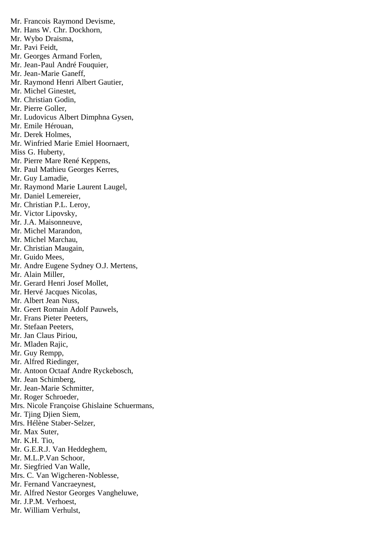Mr. Francois Raymond Devisme, Mr. Hans W. Chr. Dockhorn, Mr. Wybo Draisma, Mr. Pavi Feidt, Mr. Georges Armand Forlen, Mr. Jean-Paul André Fouquier, Mr. Jean-Marie Ganeff, Mr. Raymond Henri Albert Gautier, Mr. Michel Ginestet, Mr. Christian Godin, Mr. Pierre Goller, Mr. Ludovicus Albert Dimphna Gysen, Mr. Emile Hérouan, Mr. Derek Holmes, Mr. Winfried Marie Emiel Hoornaert, Miss G. Huberty, Mr. Pierre Mare René Keppens, Mr. Paul Mathieu Georges Kerres, Mr. Guy Lamadie, Mr. Raymond Marie Laurent Laugel, Mr. Daniel Lemereier, Mr. Christian P.L. Leroy, Mr. Victor Lipovsky, Mr. J.A. Maisonneuve, Mr. Michel Marandon, Mr. Michel Marchau, Mr. Christian Maugain, Mr. Guido Mees, Mr. Andre Eugene Sydney O.J. Mertens, Mr. Alain Miller, Mr. Gerard Henri Josef Mollet, Mr. Hervé Jacques Nicolas, Mr. Albert Jean Nuss, Mr. Geert Romain Adolf Pauwels, Mr. Frans Pieter Peeters, Mr. Stefaan Peeters, Mr. Jan Claus Piriou, Mr. Mladen Rajic, Mr. Guy Rempp, Mr. Alfred Riedinger, Mr. Antoon Octaaf Andre Ryckebosch, Mr. Jean Schimberg, Mr. Jean-Marie Schmitter, Mr. Roger Schroeder, Mrs. Nicole Françoise Ghislaine Schuermans, Mr. Tjing Djien Siem, Mrs. Hélène Staber-Selzer, Mr. Max Suter, Mr. K.H. Tio, Mr. G.E.R.J. Van Heddeghem, Mr. M.L.P.Van Schoor, Mr. Siegfried Van Walle, Mrs. C. Van Wigcheren-Noblesse, Mr. Fernand Vancraeynest, Mr. Alfred Nestor Georges Vangheluwe, Mr. J.P.M. Verhoest, Mr. William Verhulst,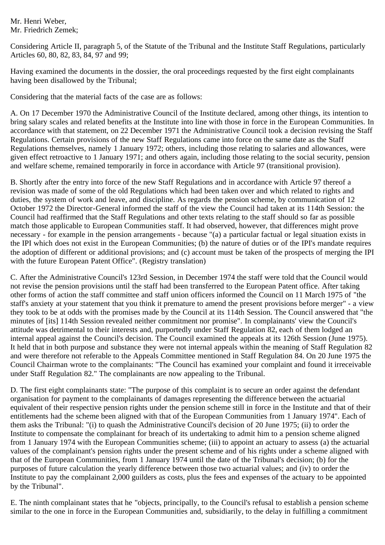Mr. Henri Weber, Mr. Friedrich Zemek;

Considering Article II, paragraph 5, of the Statute of the Tribunal and the Institute Staff Regulations, particularly Articles 60, 80, 82, 83, 84, 97 and 99;

Having examined the documents in the dossier, the oral proceedings requested by the first eight complainants having been disallowed by the Tribunal;

Considering that the material facts of the case are as follows:

A. On 17 December 1970 the Administrative Council of the Institute declared, among other things, its intention to bring salary scales and related benefits at the Institute into line with those in force in the European Communities. In accordance with that statement, on 22 December 1971 the Administrative Council took a decision revising the Staff Regulations. Certain provisions of the new Staff Regulations came into force on the same date as the Staff Regulations themselves, namely 1 January 1972; others, including those relating to salaries and allowances, were given effect retroactive to 1 January 1971; and others again, including those relating to the social security, pension and welfare scheme, remained temporarily in force in accordance with Article 97 (transitional provision).

B. Shortly after the entry into force of the new Staff Regulations and in accordance with Article 97 thereof a revision was made of some of the old Regulations which had been taken over and which related to rights and duties, the system of work and leave, and discipline. As regards the pension scheme, by communication of 12 October 1972 the Director-General informed the staff of the view the Council had taken at its 114th Session: the Council had reaffirmed that the Staff Regulations and other texts relating to the staff should so far as possible match those applicable to European Communities staff. It had observed, however, that differences might prove necessary - for example in the pension arrangements - because "(a) a particular factual or legal situation exists in the IPI which does not exist in the European Communities; (b) the nature of duties or of the IPI's mandate requires the adoption of different or additional provisions; and (c) account must be taken of the prospects of merging the IPI with the future European Patent Office". (Registry translation)

C. After the Administrative Council's 123rd Session, in December 1974 the staff were told that the Council would not revise the pension provisions until the staff had been transferred to the European Patent office. After taking other forms of action the staff committee and staff union officers informed the Council on 11 March 1975 of "the staff's anxiety at your statement that you think it premature to amend the present provisions before merger" - a view they took to be at odds with the promises made by the Council at its 114th Session. The Council answered that "the minutes of [its] 114th Session revealed neither commitment nor promise". In complainants' view the Council's attitude was detrimental to their interests and, purportedly under Staff Regulation 82, each of them lodged an internal appeal against the Council's decision. The Council examined the appeals at its 126th Session (June 1975). It held that in both purpose and substance they were not internal appeals within the meaning of Staff Regulation 82 and were therefore not referable to the Appeals Committee mentioned in Staff Regulation 84. On 20 June 1975 the Council Chairman wrote to the complainants: "The Council has examined your complaint and found it irreceivable under Staff Regulation 82." The complainants are now appealing to the Tribunal.

D. The first eight complainants state: "The purpose of this complaint is to secure an order against the defendant organisation for payment to the complainants of damages representing the difference between the actuarial equivalent of their respective pension rights under the pension scheme still in force in the Institute and that of their entitlements had the scheme been aligned with that of the European Communities from 1 January 1974". Each of them asks the Tribunal: "(i) to quash the Administrative Council's decision of 20 June 1975; (ii) to order the Institute to compensate the complainant for breach of its undertaking to admit him to a pension scheme aligned from 1 January 1974 with the European Communities scheme; (iii) to appoint an actuary to assess (a) the actuarial values of the complainant's pension rights under the present scheme and of his rights under a scheme aligned with that of the European Communities, from 1 January 1974 until the date of the Tribunal's decision; (b) for the purposes of future calculation the yearly difference between those two actuarial values; and (iv) to order the Institute to pay the complainant 2,000 guilders as costs, plus the fees and expenses of the actuary to be appointed by the Tribunal".

E. The ninth complainant states that he "objects, principally, to the Council's refusal to establish a pension scheme similar to the one in force in the European Communities and, subsidiarily, to the delay in fulfilling a commitment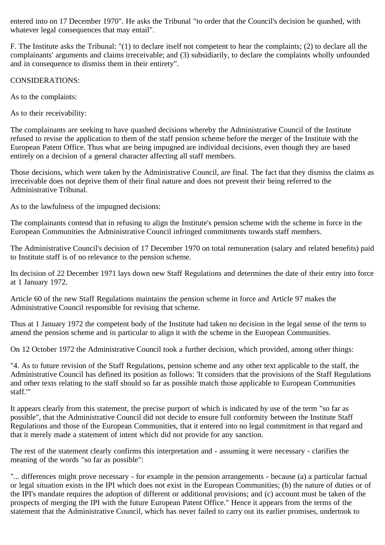entered into on 17 December 1970". He asks the Tribunal "to order that the Council's decision be quashed, with whatever legal consequences that may entail".

F. The Institute asks the Tribunal: "(1) to declare itself not competent to hear the complaints; (2) to declare all the complainants' arguments and claims irreceivable; and (3) subsidiarily, to declare the complaints wholly unfounded and in consequence to dismiss them in their entirety".

CONSIDERATIONS:

As to the complaints:

As to their receivability:

The complainants are seeking to have quashed decisions whereby the Administrative Council of the Institute refused to revise the application to them of the staff pension scheme before the merger of the Institute with the European Patent Office. Thus what are being impugned are individual decisions, even though they are based entirely on a decision of a general character affecting all staff members.

Those decisions, which were taken by the Administrative Council, are final. The fact that they dismiss the claims as irreceivable does not deprive them of their final nature and does not prevent their being referred to the Administrative Tribunal.

As to the lawfulness of the impugned decisions:

The complainants contend that in refusing to align the Institute's pension scheme with the scheme in force in the European Communities the Administrative Council infringed commitments towards staff members.

The Administrative Council's decision of 17 December 1970 on total remuneration (salary and related benefits) paid to Institute staff is of no relevance to the pension scheme.

Its decision of 22 December 1971 lays down new Staff Regulations and determines the date of their entry into force at 1 January 1972.

Article 60 of the new Staff Regulations maintains the pension scheme in force and Article 97 makes the Administrative Council responsible for revising that scheme.

Thus at 1 January 1972 the competent body of the Institute had taken no decision in the legal sense of the term to amend the pension scheme and in particular to align it with the scheme in the European Communities.

On 12 October 1972 the Administrative Council took a further decision, which provided, among other things:

"4. As to future revision of the Staff Regulations, pension scheme and any other text applicable to the staff, the Administrative Council has defined its position as follows: 'It considers that the provisions of the Staff Regulations and other texts relating to the staff should so far as possible match those applicable to European Communities staff.'"

It appears clearly from this statement, the precise purport of which is indicated by use of the term "so far as possible", that the Administrative Council did not decide to ensure full conformity between the Institute Staff Regulations and those of the European Communities, that it entered into no legal commitment in that regard and that it merely made a statement of intent which did not provide for any sanction.

The rest of the statement clearly confirms this interpretation and - assuming it were necessary - clarifies the meaning of the words "so far as possible":

"... differences might prove necessary - for example in the pension arrangements - because (a) a particular factual or legal situation exists in the IPI which does not exist in the European Communities; (b) the nature of duties or of the IPI's mandate requires the adoption of different or additional provisions; and (c) account must be taken of the prospects of merging the IPI with the future European Patent Office." Hence it appears from the terms of the statement that the Administrative Council, which has never failed to carry out its earlier promises, undertook to